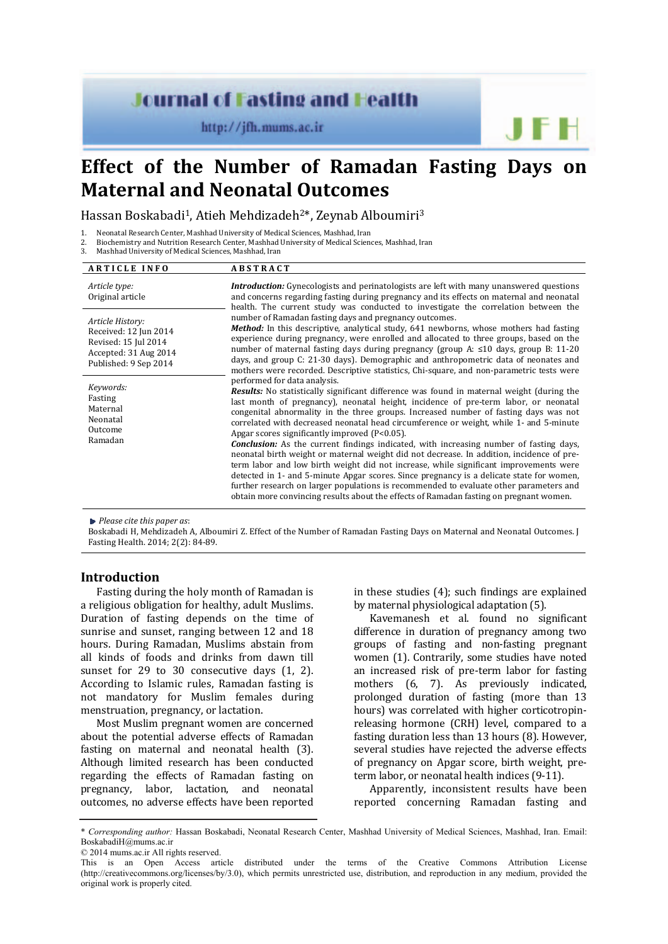# **Journal of Fasting and Health**

http://jfh.mums.ac.ir

# **Effect of the Number of Ramadan Fasting Days on Maternal and Neonatal Outcomes**

Hassan Boskabadi1, Atieh Mehdizadeh2\*, Zeynab Alboumiri3

- 1. Neonatal Research Center, Mashhad University of Medical Sciences, Mashhad, Iran<br>2. Biochemistry and Nutrition Research Center, Mashhad University of Medical Scien 2. Biochemistry and Nutrition Research Center, Mashhad University of Medical Sciences, Mashhad, Iran<br>3. Mashhad University of Medical Sciences, Mashhad, Iran
- Mashhad University of Medical Sciences, Mashhad, Iran

| <b>ARTICLE INFO</b>                                                                                                 | <b>ABSTRACT</b>                                                                                                                                                                                                                                                                                                                                                                                                                                                                                                                                                                                                                                                                                                                                                                                                                                                                                                                                                                                                                   |  |  |  |
|---------------------------------------------------------------------------------------------------------------------|-----------------------------------------------------------------------------------------------------------------------------------------------------------------------------------------------------------------------------------------------------------------------------------------------------------------------------------------------------------------------------------------------------------------------------------------------------------------------------------------------------------------------------------------------------------------------------------------------------------------------------------------------------------------------------------------------------------------------------------------------------------------------------------------------------------------------------------------------------------------------------------------------------------------------------------------------------------------------------------------------------------------------------------|--|--|--|
| Article type:<br>Original article                                                                                   | <b>Introduction:</b> Gynecologists and perinatologists are left with many unanswered questions<br>and concerns regarding fasting during pregnancy and its effects on maternal and neonatal<br>health. The current study was conducted to investigate the correlation between the                                                                                                                                                                                                                                                                                                                                                                                                                                                                                                                                                                                                                                                                                                                                                  |  |  |  |
| Article History:<br>Received: 12 Jun 2014<br>Revised: 15 Jul 2014<br>Accepted: 31 Aug 2014<br>Published: 9 Sep 2014 | number of Ramadan fasting days and pregnancy outcomes.<br>Method: In this descriptive, analytical study, 641 newborns, whose mothers had fasting<br>experience during pregnancy, were enrolled and allocated to three groups, based on the<br>number of maternal fasting days during pregnancy (group A: $\leq 10$ days, group B: 11-20<br>days, and group C: 21-30 days). Demographic and anthropometric data of neonates and<br>mothers were recorded. Descriptive statistics, Chi-square, and non-parametric tests were                                                                                                                                                                                                                                                                                                                                                                                                                                                                                                        |  |  |  |
| Keywords:<br>Fasting<br>Maternal<br>Neonatal<br>Outcome<br>Ramadan                                                  | performed for data analysis.<br><b>Results:</b> No statistically significant difference was found in maternal weight (during the<br>last month of pregnancy), neonatal height, incidence of pre-term labor, or neonatal<br>congenital abnormality in the three groups. Increased number of fasting days was not<br>correlated with decreased neonatal head circumference or weight, while 1- and 5-minute<br>Apgar scores significantly improved (P<0.05).<br><b>Conclusion:</b> As the current findings indicated, with increasing number of fasting days,<br>neonatal birth weight or maternal weight did not decrease. In addition, incidence of pre-<br>term labor and low birth weight did not increase, while significant improvements were<br>detected in 1- and 5-minute Apgar scores. Since pregnancy is a delicate state for women,<br>further research on larger populations is recommended to evaluate other parameters and<br>obtain more convincing results about the effects of Ramadan fasting on pregnant women. |  |  |  |

*Please cite this paper as*:

Boskabadi H, Mehdizadeh A, Alboumiri Z. Effect of the Number of Ramadan Fasting Days on Maternal and Neonatal Outcomes. J Fasting Health. 2014; 2(2): 84-89.

## **Introduction**

Fasting during the holy month of Ramadan is a religious obligation for healthy, adult Muslims. Duration of fasting depends on the time of sunrise and sunset, ranging between 12 and 18 hours. During Ramadan, Muslims abstain from all kinds of foods and drinks from dawn till sunset for 29 to 30 consecutive days (1, 2). According to Islamic rules, Ramadan fasting is not mandatory for Muslim females during menstruation, pregnancy, or lactation.

Most Muslim pregnant women are concerned about the potential adverse effects of Ramadan fasting on maternal and neonatal health (3). Although limited research has been conducted regarding the effects of Ramadan fasting on pregnancy, labor, lactation, and neonatal outcomes, no adverse effects have been reported in these studies (4); such findings are explained by maternal physiological adaptation (5).

Kavemanesh et al. found no significant difference in duration of pregnancy among two groups of fasting and non-fasting pregnant women (1). Contrarily, some studies have noted an increased risk of pre-term labor for fasting mothers (6, 7). As previously indicated, prolonged duration of fasting (more than 13 hours) was correlated with higher corticotropinreleasing hormone (CRH) level, compared to a fasting duration less than 13 hours (8). However, several studies have rejected the adverse effects of pregnancy on Apgar score, birth weight, preterm labor, or neonatal health indices (9-11).

Apparently, inconsistent results have been reported concerning Ramadan fasting and

© 2014 mums.ac.ir All rights reserved.

<sup>\*</sup> *Corresponding author:* Hassan Boskabadi, Neonatal Research Center, Mashhad University of Medical Sciences, Mashhad, Iran. Email: BoskabadiH@mums.ac.ir

This is an Open Access article distributed under the terms of the Creative Commons Attribution License (http://creativecommons.org/licenses/by/3.0), which permits unrestricted use, distribution, and reproduction in any medium, provided the original work is properly cited.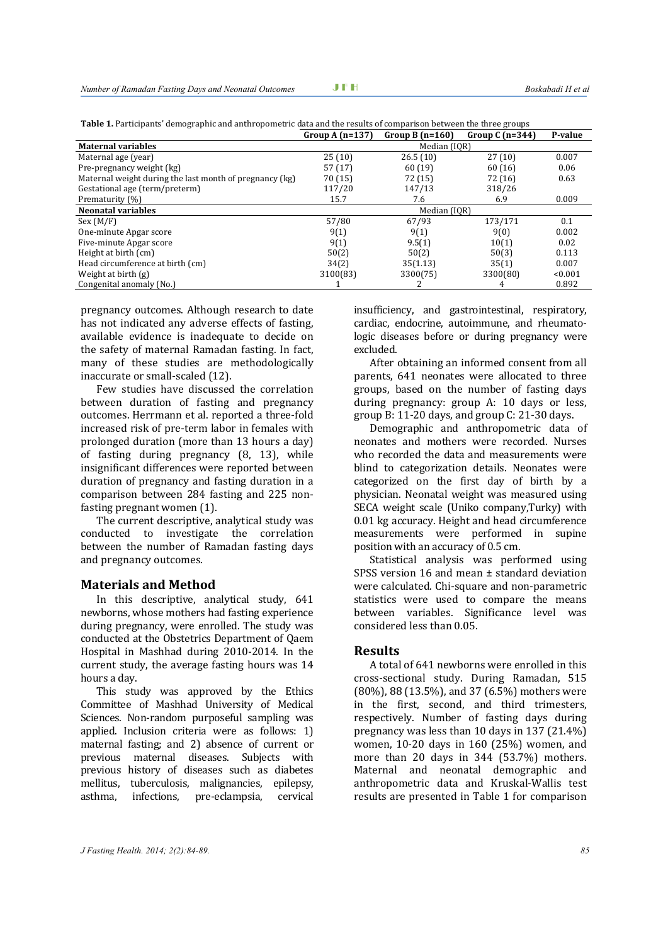**Table 1.** Participants' demographic and anthropometric data and the results of comparison between the three groups

|                                                         | Group A $(n=137)$ | Group B $(n=160)$ | Group $C(n=344)$ | P-value |
|---------------------------------------------------------|-------------------|-------------------|------------------|---------|
| <b>Maternal variables</b>                               |                   | Median (IOR)      |                  |         |
| Maternal age (year)                                     | 25(10)            | 26.5(10)          | 27(10)           | 0.007   |
| Pre-pregnancy weight (kg)                               | 57 (17)           | 60(19)            | 60(16)           | 0.06    |
| Maternal weight during the last month of pregnancy (kg) | 70 (15)           | 72 (15)           | 72 (16)          | 0.63    |
| Gestational age (term/preterm)                          | 117/20            | 147/13            | 318/26           |         |
| Prematurity (%)                                         | 15.7              | 7.6               | 6.9              | 0.009   |
| <b>Neonatal variables</b>                               | Median (IQR)      |                   |                  |         |
| Sex (M/F)                                               | 57/80             | 67/93             | 173/171          | 0.1     |
| One-minute Apgar score                                  | 9(1)              | 9(1)              | 9(0)             | 0.002   |
| Five-minute Apgar score                                 | 9(1)              | 9.5(1)            | 10(1)            | 0.02    |
| Height at birth (cm)                                    | 50(2)             | 50(2)             | 50(3)            | 0.113   |
| Head circumference at birth (cm)                        | 34(2)             | 35(1.13)          | 35(1)            | 0.007   |
| Weight at birth $(g)$                                   | 3100(83)          | 3300(75)          | 3300(80)         | < 0.001 |
| Congenital anomaly (No.)                                |                   |                   | 4                | 0.892   |

pregnancy outcomes. Although research to date has not indicated any adverse effects of fasting, available evidence is inadequate to decide on the safety of maternal Ramadan fasting. In fact, many of these studies are methodologically inaccurate or small-scaled (12).

Few studies have discussed the correlation between duration of fasting and pregnancy outcomes. Herrmann et al. reported a three-fold increased risk of pre-term labor in females with prolonged duration (more than 13 hours a day) of fasting during pregnancy (8, 13), while insignificant differences were reported between duration of pregnancy and fasting duration in a comparison between 284 fasting and 225 nonfasting pregnant women (1).

The current descriptive, analytical study was conducted to investigate the correlation between the number of Ramadan fasting days and pregnancy outcomes.

#### **Materials and Method**

In this descriptive, analytical study, 641 newborns, whose mothers had fasting experience during pregnancy, were enrolled. The study was conducted at the Obstetrics Department of Qaem Hospital in Mashhad during 2010-2014. In the current study, the average fasting hours was 14 hours a day.

This study was approved by the Ethics Committee of Mashhad University of Medical Sciences. Non-random purposeful sampling was applied. Inclusion criteria were as follows: 1) maternal fasting; and 2) absence of current or previous maternal diseases. Subjects with previous history of diseases such as diabetes mellitus, tuberculosis, malignancies, epilepsy, asthma, infections, pre-eclampsia, cervical

insufficiency, and gastrointestinal, respiratory, cardiac, endocrine, autoimmune, and rheumatologic diseases before or during pregnancy were excluded.

After obtaining an informed consent from all parents, 641 neonates were allocated to three groups, based on the number of fasting days during pregnancy: group A: 10 days or less, group B: 11-20 days, and group C: 21-30 days.

Demographic and anthropometric data of neonates and mothers were recorded. Nurses who recorded the data and measurements were blind to categorization details. Neonates were categorized on the first day of birth by a physician. Neonatal weight was measured using SECA weight scale (Uniko company,Turky) with 0.01 kg accuracy. Height and head circumference measurements were performed in supine position with an accuracy of 0.5 cm.

Statistical analysis was performed using SPSS version 16 and mean ± standard deviation were calculated. Chi-square and non-parametric statistics were used to compare the means between variables. Significance level was considered less than 0.05.

#### **Results**

A total of 641 newborns were enrolled in this cross-sectional study. During Ramadan, 515 (80%), 88 (13.5%), and 37 (6.5%) mothers were in the first, second, and third trimesters, respectively. Number of fasting days during pregnancy was less than 10 days in 137 (21.4%) women, 10-20 days in 160 (25%) women, and more than 20 days in 344 (53.7%) mothers. Maternal and neonatal demographic and anthropometric data and Kruskal-Wallis test results are presented in Table 1 for comparison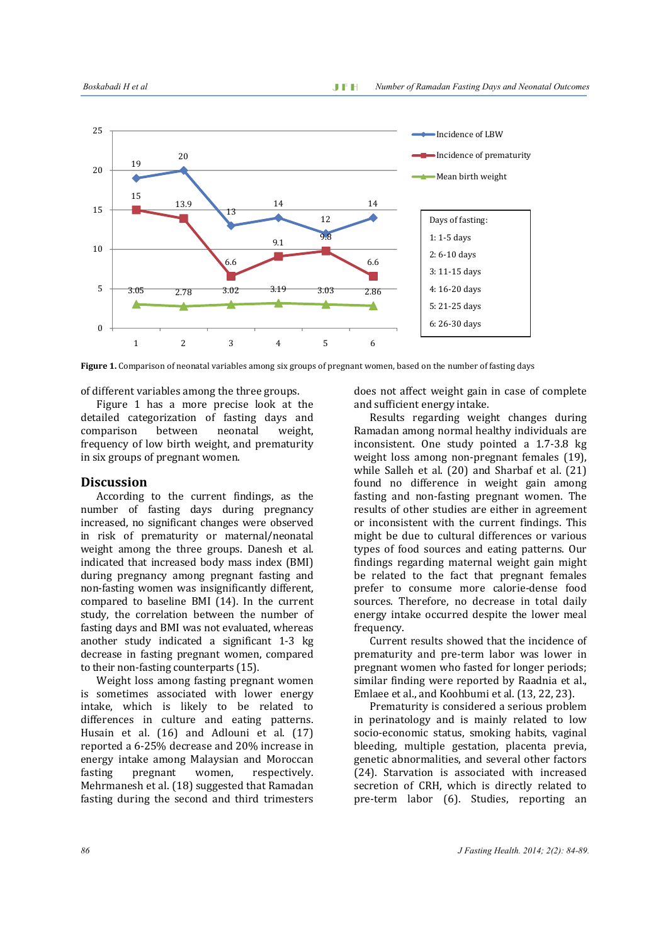

**Figure 1.** Comparison of neonatal variables among six groups of pregnant women, based on the number of fasting days

of different variables among the three groups.

Figure 1 has a more precise look at the detailed categorization of fasting days and comparison between neonatal weight, frequency of low birth weight, and prematurity in six groups of pregnant women.

## **Discussion**

According to the current findings, as the number of fasting days during pregnancy increased, no significant changes were observed in risk of prematurity or maternal/neonatal weight among the three groups. Danesh et al. indicated that increased body mass index (BMI) during pregnancy among pregnant fasting and non-fasting women was insignificantly different, compared to baseline BMI (14). In the current study, the correlation between the number of fasting days and BMI was not evaluated, whereas another study indicated a significant 1-3 kg decrease in fasting pregnant women, compared to their non-fasting counterparts (15).

Weight loss among fasting pregnant women is sometimes associated with lower energy intake, which is likely to be related to differences in culture and eating patterns. Husain et al. (16) and Adlouni et al. (17) reported a 6-25% decrease and 20% increase in energy intake among Malaysian and Moroccan fasting pregnant women, respectively. Mehrmanesh et al. (18) suggested that Ramadan fasting during the second and third trimesters

does not affect weight gain in case of complete and sufficient energy intake.

Results regarding weight changes during Ramadan among normal healthy individuals are inconsistent. One study pointed a 1.7-3.8 kg weight loss among non-pregnant females (19), while Salleh et al. (20) and Sharbaf et al. (21) found no difference in weight gain among fasting and non-fasting pregnant women. The results of other studies are either in agreement or inconsistent with the current findings. This might be due to cultural differences or various types of food sources and eating patterns. Our findings regarding maternal weight gain might be related to the fact that pregnant females prefer to consume more calorie-dense food sources. Therefore, no decrease in total daily energy intake occurred despite the lower meal frequency.

Current results showed that the incidence of prematurity and pre-term labor was lower in pregnant women who fasted for longer periods; similar finding were reported by Raadnia et al., Emlaee et al., and Koohbumi et al. (13, 22, 23).

Prematurity is considered a serious problem in perinatology and is mainly related to low socio-economic status, smoking habits, vaginal bleeding, multiple gestation, placenta previa, genetic abnormalities, and several other factors (24). Starvation is associated with increased secretion of CRH, which is directly related to pre-term labor (6). Studies, reporting an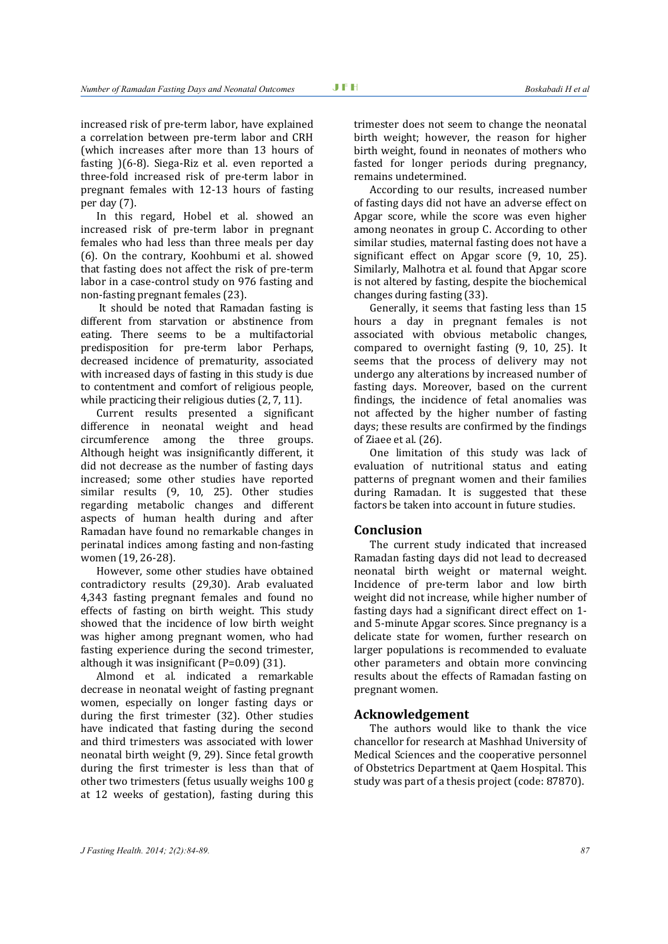increased risk of pre-term labor, have explained a correlation between pre-term labor and CRH (which increases after more than 13 hours of fasting )(6-8). Siega-Riz et al. even reported a three-fold increased risk of pre-term labor in pregnant females with 12-13 hours of fasting per day (7).

In this regard, Hobel et al. showed an increased risk of pre-term labor in pregnant females who had less than three meals per day (6). On the contrary, Koohbumi et al. showed that fasting does not affect the risk of pre-term labor in a case-control study on 976 fasting and non-fasting pregnant females (23).

 It should be noted that Ramadan fasting is different from starvation or abstinence from eating. There seems to be a multifactorial predisposition for pre-term labor Perhaps, decreased incidence of prematurity, associated with increased days of fasting in this study is due to contentment and comfort of religious people, while practicing their religious duties  $(2, 7, 11)$ .

Current results presented a significant difference in neonatal weight and head circumference among the three groups. Although height was insignificantly different, it did not decrease as the number of fasting days increased; some other studies have reported similar results (9, 10, 25). Other studies regarding metabolic changes and different aspects of human health during and after Ramadan have found no remarkable changes in perinatal indices among fasting and non-fasting women (19, 26-28).

However, some other studies have obtained contradictory results (29,30). Arab evaluated 4,343 fasting pregnant females and found no effects of fasting on birth weight. This study showed that the incidence of low birth weight was higher among pregnant women, who had fasting experience during the second trimester, although it was insignificant (P=0.09) (31).

Almond et al. indicated a remarkable decrease in neonatal weight of fasting pregnant women, especially on longer fasting days or during the first trimester (32). Other studies have indicated that fasting during the second and third trimesters was associated with lower neonatal birth weight (9, 29). Since fetal growth during the first trimester is less than that of other two trimesters (fetus usually weighs 100 g at 12 weeks of gestation), fasting during this

trimester does not seem to change the neonatal birth weight; however, the reason for higher birth weight, found in neonates of mothers who fasted for longer periods during pregnancy, remains undetermined.

According to our results, increased number of fasting days did not have an adverse effect on Apgar score, while the score was even higher among neonates in group C. According to other similar studies, maternal fasting does not have a significant effect on Apgar score (9, 10, 25). Similarly, Malhotra et al. found that Apgar score is not altered by fasting, despite the biochemical changes during fasting (33).

Generally, it seems that fasting less than 15 hours a day in pregnant females is not associated with obvious metabolic changes, compared to overnight fasting (9, 10, 25). It seems that the process of delivery may not undergo any alterations by increased number of fasting days. Moreover, based on the current findings, the incidence of fetal anomalies was not affected by the higher number of fasting days; these results are confirmed by the findings of Ziaee et al. (26).

One limitation of this study was lack of evaluation of nutritional status and eating patterns of pregnant women and their families during Ramadan. It is suggested that these factors be taken into account in future studies.

# **Conclusion**

The current study indicated that increased Ramadan fasting days did not lead to decreased neonatal birth weight or maternal weight. Incidence of pre-term labor and low birth weight did not increase, while higher number of fasting days had a significant direct effect on 1 and 5-minute Apgar scores. Since pregnancy is a delicate state for women, further research on larger populations is recommended to evaluate other parameters and obtain more convincing results about the effects of Ramadan fasting on pregnant women.

# **Acknowledgement**

The authors would like to thank the vice chancellor for research at Mashhad University of Medical Sciences and the cooperative personnel of Obstetrics Department at Qaem Hospital. This study was part of a thesis project (code: 87870).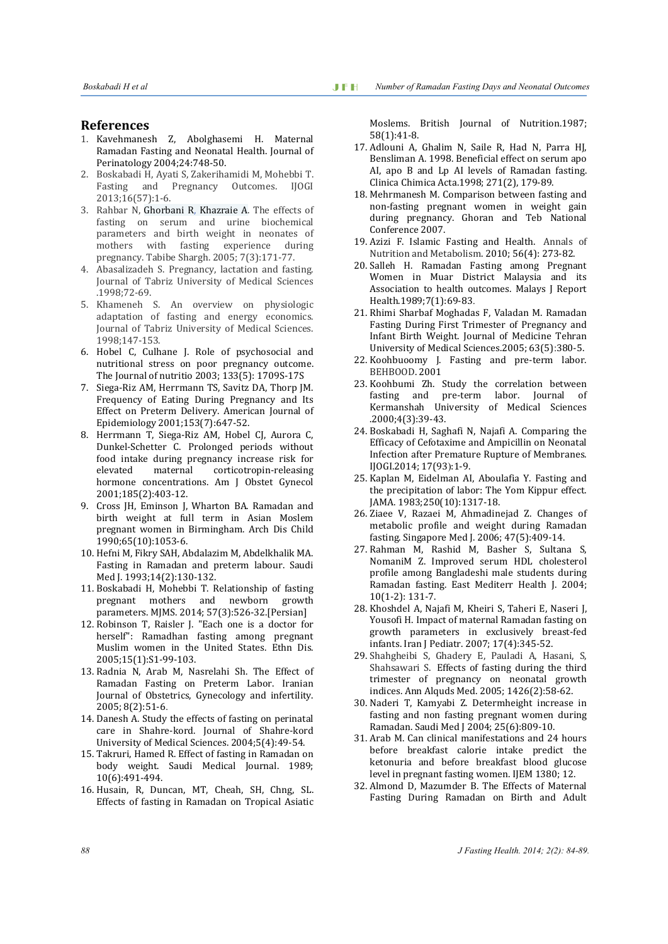#### **References**

- 1. Kavehmanesh Z, Abolghasemi H. Maternal Ramadan Fasting and Neonatal Health. Journal of Perinatology 2004;24:748-50.
- 2. Boskabadi H, Ayati S, Zakerihamidi M, Mohebbi T. Fasting and Pregnancy Outcomes. IJOGI 2013;16(57):1-6.
- 3. Rahbar N, Ghorbani R, Khazraie A. The effects of fasting on serum and urine biochemical parameters and birth weight in neonates of mothers with fasting experience during pregnancy. Tabibe Shargh. 2005; 7(3):171-77.
- 4. Abasalizadeh S. Pregnancy, lactation and fasting. Journal of Tabriz University of Medical Sciences .1998;72-69.
- 5. Khameneh S. An overview on physiologic adaptation of fasting and energy economics. Journal of Tabriz University of Medical Sciences. 1998;147-153.
- 6. Hobel C, Culhane J. Role of psychosocial and nutritional stress on poor pregnancy outcome. The Journal of nutritio 2003; 133(5): 1709S-17S
- 7. Siega-Riz AM, Herrmann TS, Savitz DA, Thorp JM. Frequency of Eating During Pregnancy and Its Effect on Preterm Delivery. American Journal of Epidemiology 2001;153(7):647-52.
- 8. Herrmann T, Siega-Riz AM, Hobel CJ, Aurora C, Dunkel-Schetter C. Prolonged periods without food intake during pregnancy increase risk for elevated maternal corticotropin-releasing hormone concentrations. Am J Obstet Gynecol 2001;185(2):403-12.
- 9. Cross JH, Eminson J, Wharton BA. Ramadan and birth weight at full term in Asian Moslem pregnant women in Birmingham. Arch Dis Child 1990;65(10):1053-6.
- 10. Hefni M, Fikry SAH, Abdalazim M, Abdelkhalik MA. Fasting in Ramadan and preterm labour. Saudi Med I. 1993:14(2):130-132.
- 11. Boskabadi H, Mohebbi T. Relationship of fasting pregnant mothers and newborn growth parameters. MJMS. 2014; 57(3):526-32.[Persian]
- 12. Robinson T, Raisler J. "Each one is a doctor for herself": Ramadhan fasting among pregnant Muslim women in the United States. Ethn Dis. 2005;15(1):S1-99-103.
- 13. Radnia N, Arab M, Nasrelahi Sh. The Effect of Ramadan Fasting on Preterm Labor. Iranian Journal of Obstetrics, Gynecology and infertility. 2005; 8(2):51-6.
- 14. Danesh A. Study the effects of fasting on perinatal care in Shahre-kord. Journal of Shahre-kord University of Medical Sciences. 2004;5(4):49-54.
- 15. Takruri, Hamed R. Effect of fasting in Ramadan on body weight. Saudi Medical Journal. 1989; 10(6):491-494.
- 16. Husain, R, Duncan, MT, Cheah, SH, Chng, SL. Effects of fasting in Ramadan on Tropical Asiatic

Moslems. British Journal of Nutrition.1987; 58(1):41-8.

- 17. Adlouni A, Ghalim N, Saile R, Had N, Parra HJ, Bensliman A. 1998. Beneficial effect on serum apo AI, apo B and Lp AI levels of Ramadan fasting. Clinica Chimica Acta.1998; 271(2), 179-89.
- 18. Mehrmanesh M. Comparison between fasting and non-fasting pregnant women in weight gain during pregnancy. Ghoran and Teb National Conference 2007.
- 19. Azizi F. Islamic Fasting and Health. Annals of Nutrition and Metabolism. 2010; 56(4): 273-82.
- 20. Salleh H. Ramadan Fasting among Pregnant Women in Muar District Malaysia and its Association to health outcomes. Malays J Report Health.1989;7(1):69-83.
- 21. Rhimi Sharbaf Moghadas F, Valadan M. Ramadan Fasting During First Trimester of Pregnancy and Infant Birth Weight. Journal of Medicine Tehran University of Medical Sciences.2005; 63(5):380-5.
- 22. Koohbuoomy J. Fasting and pre-term labor. BEHBOOD. 2001
- 23. Koohbumi Zh. Study the correlation between fasting and pre-term labor. Journal of Kermanshah University of Medical Sciences .2000;4(3):39-43.
- 24. Boskabadi H, Saghafi N, Najafi A. Comparing the Efficacy of Cefotaxime and Ampicillin on Neonatal Infection after Premature Rupture of Membranes. IJOGI.2014; 17(93):1-9.
- 25. Kaplan M, Eidelman AI, Aboulafia Y. Fasting and the precipitation of labor: The Yom Kippur effect. JAMA. 1983;250(10):1317-18.
- 26. Ziaee V, Razaei M, Ahmadinejad Z. Changes of metabolic profile and weight during Ramadan fasting. Singapore Med J. 2006; 47(5):409-14.
- 27. Rahman M, Rashid M, Basher S, Sultana S, NomaniM Z. Improved serum HDL cholesterol profile among Bangladeshi male students during Ramadan fasting. East Mediterr Health J. 2004; 10(1-2): 131-7.
- 28. Khoshdel A, Najafi M, Kheiri S, Taheri E, Naseri J, Yousofi H. Impact of maternal Ramadan fasting on growth parameters in exclusively breast-fed infants. Iran J Pediatr. 2007; 17(4):345-52.
- 29. Shahgheibi S, Ghadery E, Pauladi A, Hasani, S, Shahsawari S. Effects of fasting during the third trimester of pregnancy on neonatal growth indices. Ann Alquds Med. 2005; 1426(2):58-62.
- 30. Naderi T, Kamyabi Z. Determheight increase in fasting and non fasting pregnant women during Ramadan. Saudi Med J 2004; 25(6):809-10.
- 31. Arab M. Can clinical manifestations and 24 hours before breakfast calorie intake predict the ketonuria and before breakfast blood glucose level in pregnant fasting women. IJEM 1380; 12.
- 32. Almond D, Mazumder B. The Effects of Maternal Fasting During Ramadan on Birth and Adult